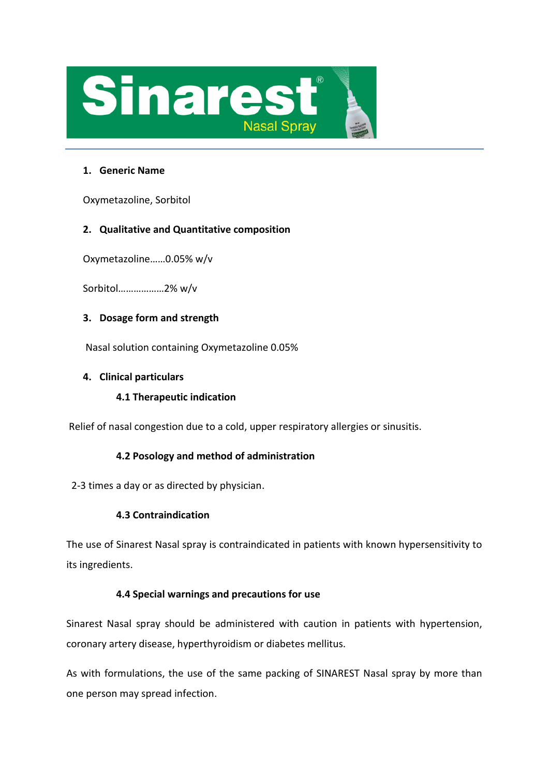

### **1. Generic Name**

Oxymetazoline, Sorbitol

# **2. Qualitative and Quantitative composition**

Oxymetazoline……0.05% w/v

Sorbitol………………2% w/v

# **3. Dosage form and strength**

Nasal solution containing Oxymetazoline 0.05%

### **4. Clinical particulars**

# **4.1 Therapeutic indication**

Relief of nasal congestion due to a cold, upper respiratory allergies or sinusitis.

# **4.2 Posology and method of administration**

2-3 times a day or as directed by physician.

# **4.3 Contraindication**

The use of Sinarest Nasal spray is contraindicated in patients with known hypersensitivity to its ingredients.

### **4.4 Special warnings and precautions for use**

Sinarest Nasal spray should be administered with caution in patients with hypertension, coronary artery disease, hyperthyroidism or diabetes mellitus.

As with formulations, the use of the same packing of SINAREST Nasal spray by more than one person may spread infection.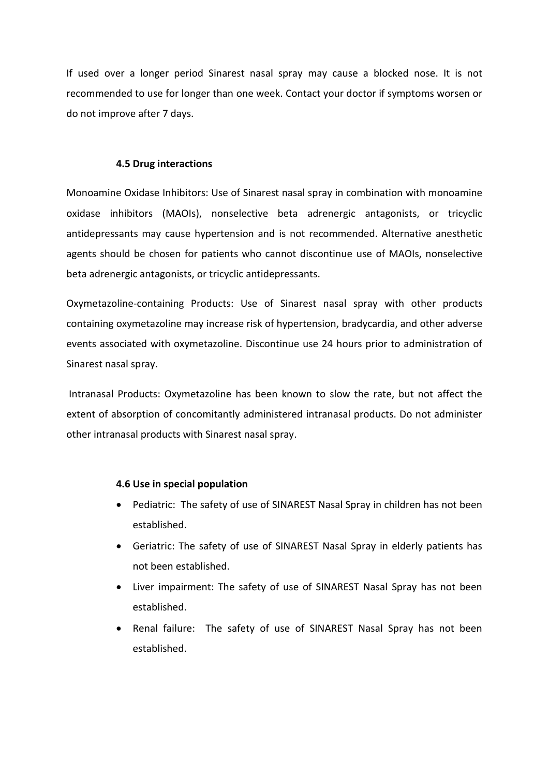If used over a longer period Sinarest nasal spray may cause a blocked nose. It is not recommended to use for longer than one week. Contact your doctor if symptoms worsen or do not improve after 7 days.

#### **4.5 Drug interactions**

Monoamine Oxidase Inhibitors: Use of Sinarest nasal spray in combination with monoamine oxidase inhibitors (MAOIs), nonselective beta adrenergic antagonists, or tricyclic antidepressants may cause hypertension and is not recommended. Alternative anesthetic agents should be chosen for patients who cannot discontinue use of MAOIs, nonselective beta adrenergic antagonists, or tricyclic antidepressants.

Oxymetazoline-containing Products: Use of Sinarest nasal spray with other products containing oxymetazoline may increase risk of hypertension, bradycardia, and other adverse events associated with oxymetazoline. Discontinue use 24 hours prior to administration of Sinarest nasal spray.

Intranasal Products: Oxymetazoline has been known to slow the rate, but not affect the extent of absorption of concomitantly administered intranasal products. Do not administer other intranasal products with Sinarest nasal spray.

#### **4.6 Use in special population**

- Pediatric: The safety of use of SINAREST Nasal Spray in children has not been established.
- Geriatric: The safety of use of SINAREST Nasal Spray in elderly patients has not been established.
- Liver impairment: The safety of use of SINAREST Nasal Spray has not been established.
- Renal failure: The safety of use of SINAREST Nasal Spray has not been established.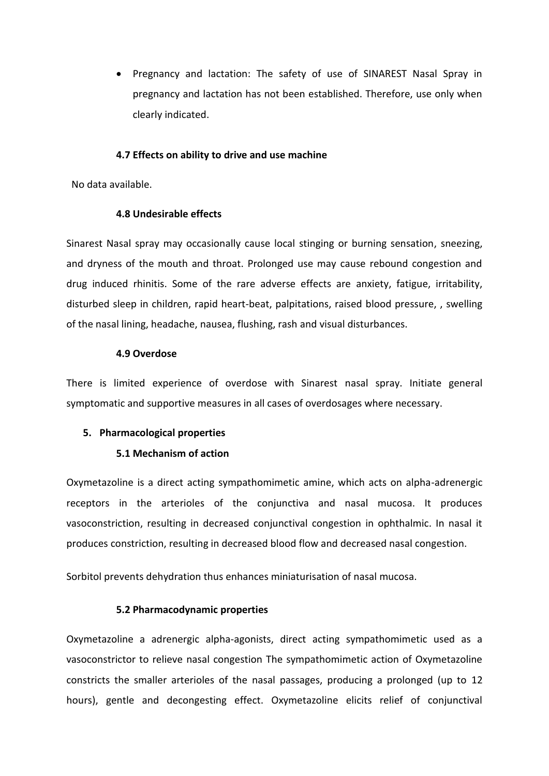• Pregnancy and lactation: The safety of use of SINAREST Nasal Spray in pregnancy and lactation has not been established. Therefore, use only when clearly indicated.

#### **4.7 Effects on ability to drive and use machine**

No data available.

#### **4.8 Undesirable effects**

Sinarest Nasal spray may occasionally cause local stinging or burning sensation, sneezing, and dryness of the mouth and throat. Prolonged use may cause rebound congestion and drug induced rhinitis. Some of the rare adverse effects are anxiety, fatigue, irritability, disturbed sleep in children, rapid heart-beat, palpitations, raised blood pressure, , swelling of the nasal lining, headache, nausea, flushing, rash and visual disturbances.

#### **4.9 Overdose**

There is limited experience of overdose with Sinarest nasal spray. Initiate general symptomatic and supportive measures in all cases of overdosages where necessary.

### **5. Pharmacological properties**

### **5.1 Mechanism of action**

Oxymetazoline is a direct acting sympathomimetic amine, which acts on alpha-adrenergic receptors in the arterioles of the conjunctiva and nasal mucosa. It produces vasoconstriction, resulting in decreased conjunctival congestion in ophthalmic. In nasal it produces constriction, resulting in decreased blood flow and decreased nasal congestion.

Sorbitol prevents dehydration thus enhances miniaturisation of nasal mucosa.

### **5.2 Pharmacodynamic properties**

Oxymetazoline a adrenergic alpha-agonists, direct acting sympathomimetic used as a vasoconstrictor to relieve nasal congestion The sympathomimetic action of Oxymetazoline constricts the smaller arterioles of the nasal passages, producing a prolonged (up to 12 hours), gentle and decongesting effect. Oxymetazoline elicits relief of conjunctival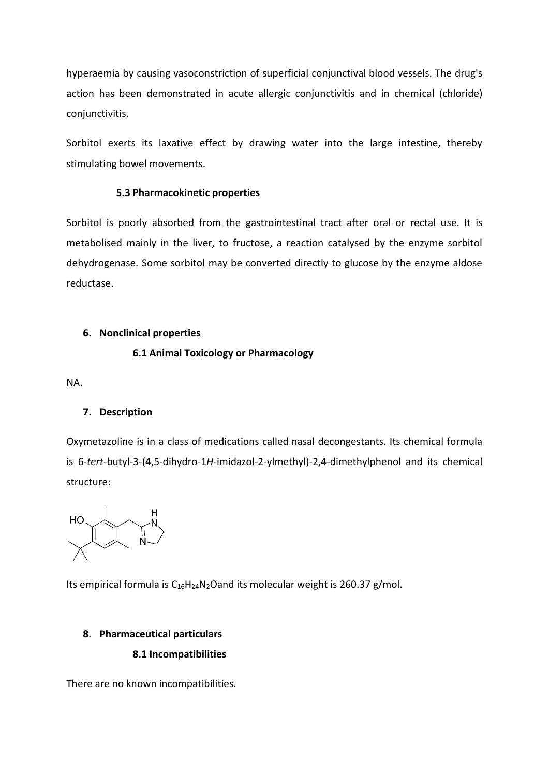hyperaemia by causing vasoconstriction of superficial conjunctival blood vessels. The drug's action has been demonstrated in acute allergic conjunctivitis and in chemical (chloride) conjunctivitis.

Sorbitol exerts its laxative effect by drawing water into the large intestine, thereby stimulating bowel movements.

### **5.3 Pharmacokinetic properties**

Sorbitol is poorly absorbed from the gastrointestinal tract after oral or rectal use. It is metabolised mainly in the liver, to fructose, a reaction catalysed by the enzyme sorbitol dehydrogenase. Some sorbitol may be converted directly to glucose by the enzyme aldose reductase.

### **6. Nonclinical properties**

# **6.1 Animal Toxicology or Pharmacology**

NA.

# **7. Description**

Oxymetazoline is in a class of medications called nasal decongestants. Its chemical formula is 6-*tert*-butyl-3-(4,5-dihydro-1*H*-imidazol-2-ylmethyl)-2,4-dimethylphenol and its chemical structure:



Its empirical formula is  $C_{16}H_{24}N_2O$  and its molecular weight is 260.37 g/mol.

# **8. Pharmaceutical particulars**

# **8.1 Incompatibilities**

There are no known incompatibilities.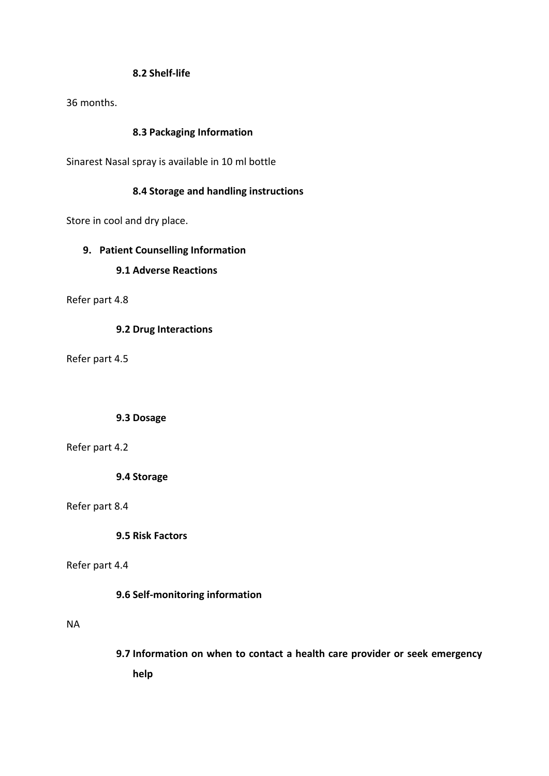### **8.2 Shelf-life**

36 months.

### **8.3 Packaging Information**

Sinarest Nasal spray is available in 10 ml bottle

### **8.4 Storage and handling instructions**

Store in cool and dry place.

### **9. Patient Counselling Information**

### **9.1 Adverse Reactions**

Refer part 4.8

### **9.2 Drug Interactions**

Refer part 4.5

### **9.3 Dosage**

### Refer part 4.2

**9.4 Storage**

### Refer part 8.4

**9.5 Risk Factors**

### Refer part 4.4

### **9.6 Self-monitoring information**

### NA

**9.7 Information on when to contact a health care provider or seek emergency help**